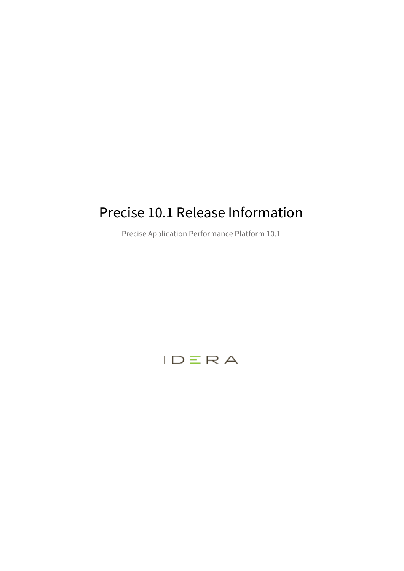# Precise 10.1 Release Information

Precise Application Performance Platform 10.1

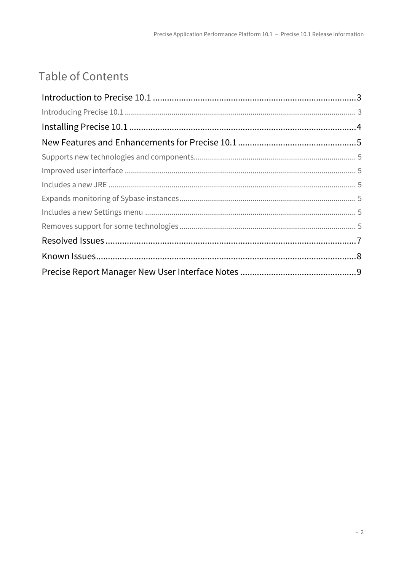# Table of Contents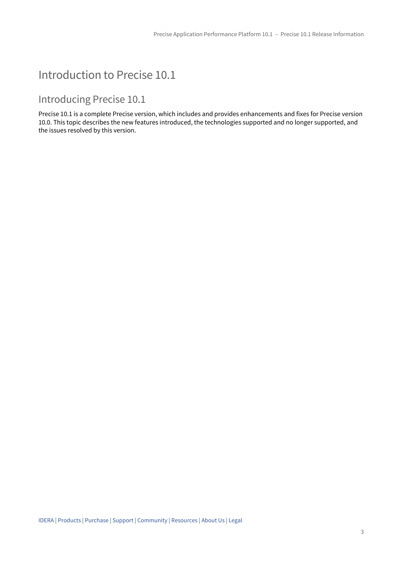## <span id="page-2-0"></span>Introduction to Precise 10.1

## <span id="page-2-1"></span>Introducing Precise 10.1

Precise 10.1 is a complete Precise version, which includes and provides enhancements and fixes for Precise version 10.0. This topic describes the new features introduced, the technologies supported and no longer supported, and the issues resolved by this version.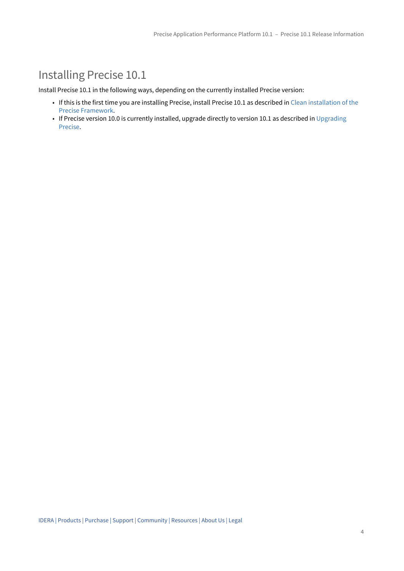## <span id="page-3-0"></span>Installing Precise 10.1

Install Precise 10.1 in the following ways, depending on the currently installed Precise version:

- If this is the first time you are installing Precise, install Precise 10.1 as described in [Clean installation of the](http://wiki.idera.com/display/Precise/Clean+installation+of+the+Precise+Framework) [Precise Framework.](http://wiki.idera.com/display/Precise/Clean+installation+of+the+Precise+Framework)
- If Precise version 10.0 is currently installed, upgrade directly to version 10.1 as described in [Upgrading](http://wiki.idera.com/display/Precise/Upgrading+Precise) [Precise](http://wiki.idera.com/display/Precise/Upgrading+Precise).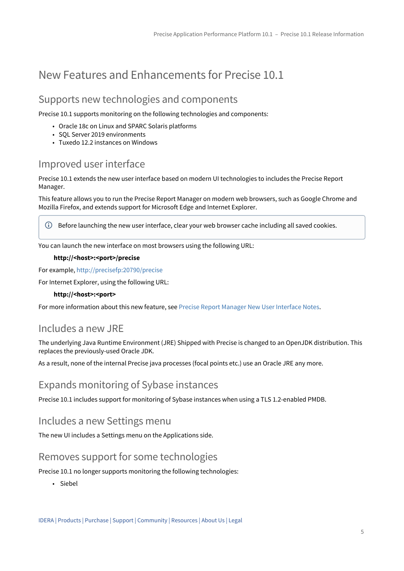## <span id="page-4-0"></span>New Features and Enhancements for Precise 10.1

## <span id="page-4-1"></span>Supports new technologies and components

Precise 10.1 supports monitoring on the following technologies and components:

- Oracle 18c on Linux and SPARC Solaris platforms
- SQL Server 2019 environments
- Tuxedo 12.2 instances on Windows

## <span id="page-4-2"></span>Improved user interface

Precise 10.1 extends the new user interface based on modern UI technologies to includes the Precise Report Manager.

This feature allows you to run the Precise Report Manager on modern web browsers, such as Google Chrome and Mozilla Firefox, and extends support for Microsoft Edge and Internet Explorer.

Before launching the new user interface, clear your web browser cache including all saved cookies.

You can launch the new interface on most browsers using the following URL:

#### **http://<host>:<port>/precise**

For example, <http://precisefp:20790/precise>

For Internet Explorer, using the following URL:

#### **http://<host>:<port>**

For more information about this new feature, see [Precise Report Manager New User Interface Notes.](#page-8-0)

### <span id="page-4-3"></span>Includes a new JRE

The underlying Java Runtime Environment (JRE) Shipped with Precise is changed to an OpenJDK distribution. This replaces the previously-used Oracle JDK.

As a result, none of the internal Precise java processes (focal points etc.) use an Oracle JRE any more.

### <span id="page-4-4"></span>Expands monitoring of Sybase instances

Precise 10.1 includes support for monitoring of Sybase instances when using a TLS 1.2-enabled PMDB.

### <span id="page-4-5"></span>Includes a new Settings menu

The new UI includes a Settings menu on the Applications side.

### <span id="page-4-6"></span>Removes support for some technologies

Precise 10.1 no longer supports monitoring the following technologies:

• Siebel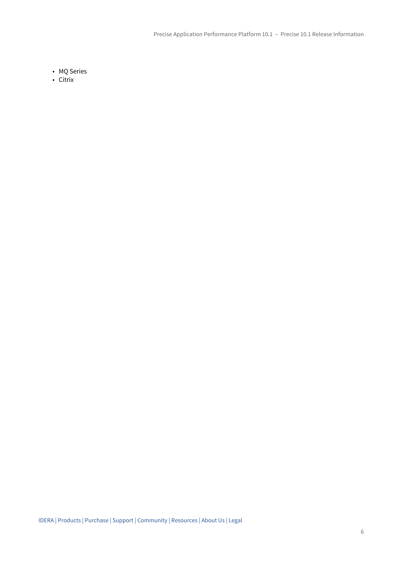- MQ Series
- Citrix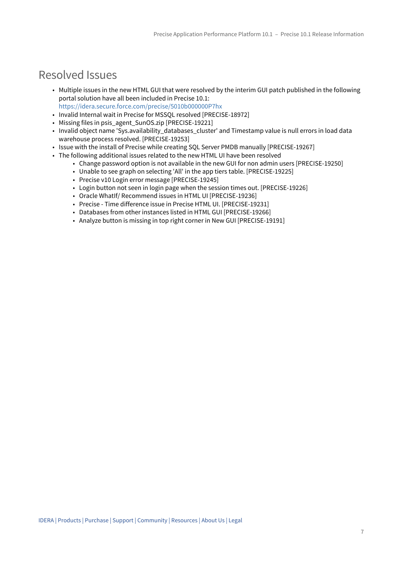## <span id="page-6-0"></span>Resolved Issues

- Multiple issues in the new HTML GUI that were resolved by the interim GUI patch published in the following portal solution have all been included in Precise 10.1: <https://idera.secure.force.com/precise/5010b000000P7hx>
- Invalid Internal wait in Precise for MSSQL resolved [PRECISE-18972]
- Missing files in psis\_agent\_SunOS.zip [PRECISE-19221]
- Invalid object name 'Sys.availability\_databases\_cluster' and Timestamp value is null errors in load data warehouse process resolved. [PRECISE-19253]
- Issue with the install of Precise while creating SQL Server PMDB manually [PRECISE-19267]
- The following additional issues related to the new HTML UI have been resolved
	- Change password option is not available in the new GUI for non admin users [PRECISE-19250]
	- Unable to see graph on selecting 'All' in the app tiers table. [PRECISE-19225]
	- Precise v10 Login error message [PRECISE-19245]
	- Login button not seen in login page when the session times out. [PRECISE-19226]
	- Oracle WhatIf/ Recommend issues in HTML UI [PRECISE-19236]
	- Precise Time difference issue in Precise HTML UI. [PRECISE-19231]
	- Databases from other instances listed in HTML GUI [PRECISE-19266]
	- Analyze button is missing in top right corner in New GUI [PRECISE-19191]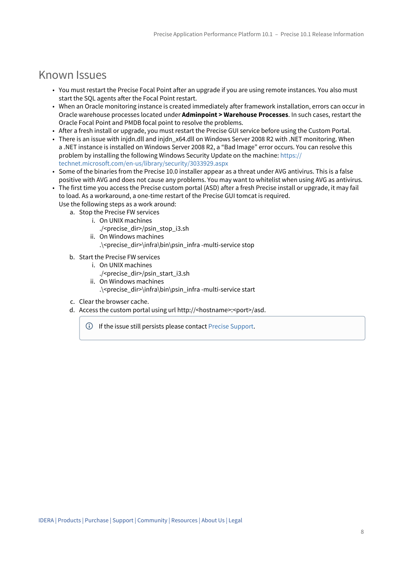## <span id="page-7-0"></span>Known Issues

- You must restart the Precise Focal Point after an upgrade if you are using remote instances. You also must start the SQL agents after the Focal Point restart.
- When an Oracle monitoring instance is created immediately after framework installation, errors can occur in Oracle warehouse processes located under **Adminpoint > Warehouse Processes**. In such cases, restart the Oracle Focal Point and PMDB focal point to resolve the problems.
- After a fresh install or upgrade, you must restart the Precise GUI service before using the Custom Portal.
- There is an issue with injdn.dll and injdn\_x64.dll on Windows Server 2008 R2 with .NET monitoring. When a .NET instance is installed on Windows Server 2008 R2, a "Bad Image" error occurs. You can resolve this problem by installing the following Windows Security Update on the machine: [https://](https://technet.microsoft.com/en-us/library/security/3033929.aspx) [technet.microsoft.com/en-us/library/security/3033929.aspx](https://technet.microsoft.com/en-us/library/security/3033929.aspx)
- Some of the binaries from the Precise 10.0 installer appear as a threat under AVG antivirus. This is a false positive with AVG and does not cause any problems. You may want to whitelist when using AVG as antivirus.
- The first time you access the Precise custom portal (ASD) after a fresh Precise install or upgrade, it may fail to load. As a workaround, a one-time restart of the Precise GUI tomcat is required.
	- Use the following steps as a work around:
		- a. Stop the Precise FW services
			- i. On UNIX machines
				- ./<precise\_dir>/psin\_stop\_i3.sh
			- ii. On Windows machines .\<precise\_dir>\infra\bin\psin\_infra -multi-service stop
		- b. Start the Precise FW services
			- i. On UNIX machines
			- ./<precise\_dir>/psin\_start\_i3.sh
			- ii. On Windows machines
				- .\<precise\_dir>\infra\bin\psin\_infra -multi-service start
		- c. Clear the browser cache.
		- d. Access the custom portal using url http://<hostname>:<port>/asd.
			- If the issue still persists please contact [Precise Support.](https://idera.secure.force.com/precise/)